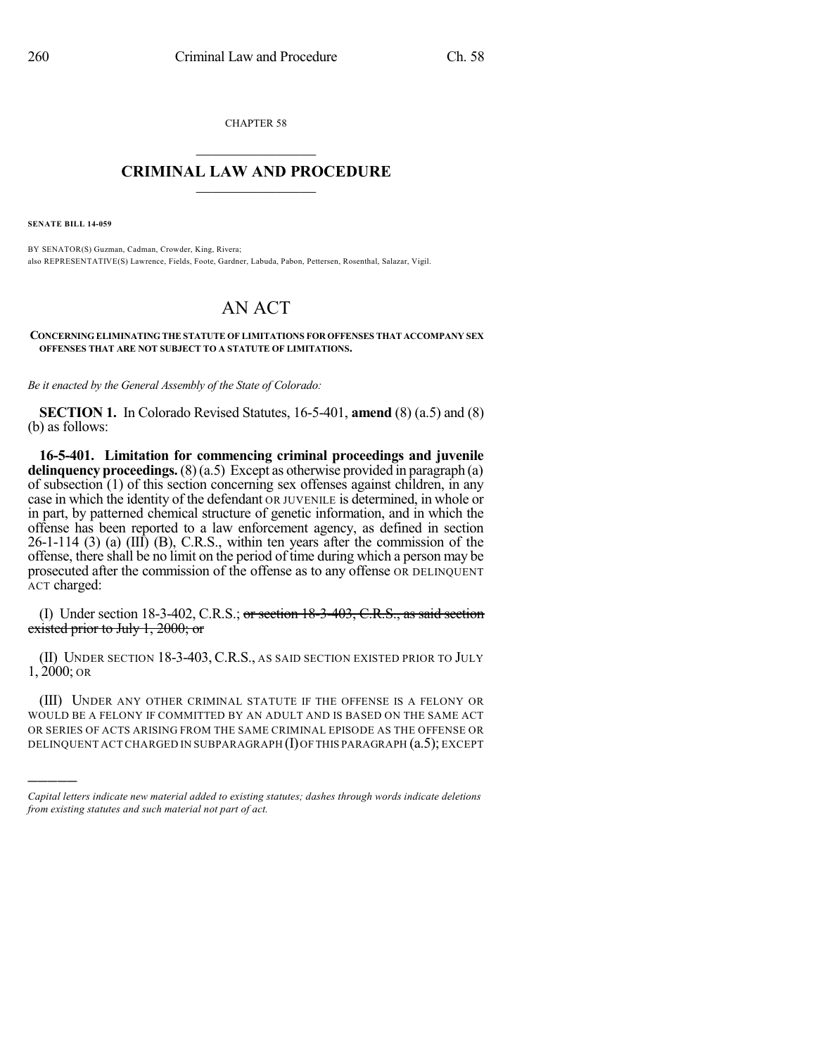CHAPTER 58

## $\mathcal{L}_\text{max}$  . The set of the set of the set of the set of the set of the set of the set of the set of the set of the set of the set of the set of the set of the set of the set of the set of the set of the set of the set **CRIMINAL LAW AND PROCEDURE**  $\frac{1}{2}$  ,  $\frac{1}{2}$  ,  $\frac{1}{2}$  ,  $\frac{1}{2}$  ,  $\frac{1}{2}$  ,  $\frac{1}{2}$  ,  $\frac{1}{2}$

**SENATE BILL 14-059**

)))))

BY SENATOR(S) Guzman, Cadman, Crowder, King, Rivera; also REPRESENTATIVE(S) Lawrence, Fields, Foote, Gardner, Labuda, Pabon, Pettersen, Rosenthal, Salazar, Vigil.

## AN ACT

## **CONCERNING ELIMINATING THE STATUTE OF LIMITATIONS FOR OFFENSES THAT ACCOMPANY SEX OFFENSES THAT ARE NOT SUBJECT TO A STATUTE OF LIMITATIONS.**

*Be it enacted by the General Assembly of the State of Colorado:*

**SECTION 1.** In Colorado Revised Statutes, 16-5-401, **amend** (8) (a.5) and (8) (b) as follows:

**16-5-401. Limitation for commencing criminal proceedings and juvenile delinquency proceedings.**(8)(a.5) Except as otherwise provided in paragraph (a) of subsection (1) of this section concerning sex offenses against children, in any case in which the identity of the defendant OR JUVENILE is determined, in whole or in part, by patterned chemical structure of genetic information, and in which the offense has been reported to a law enforcement agency, as defined in section  $26-1-114$  (3) (a) (III) (B), C.R.S., within ten years after the commission of the offense, there shall be no limit on the period of time during which a person may be prosecuted after the commission of the offense as to any offense OR DELINQUENT ACT charged:

(I) Under section 18-3-402, C.R.S.; or section 18-3-403, C.R.S., as said section existed prior to July 1, 2000; or

(II) UNDER SECTION 18-3-403, C.R.S., AS SAID SECTION EXISTED PRIOR TO JULY 1, 2000; OR

(III) UNDER ANY OTHER CRIMINAL STATUTE IF THE OFFENSE IS A FELONY OR WOULD BE A FELONY IF COMMITTED BY AN ADULT AND IS BASED ON THE SAME ACT OR SERIES OF ACTS ARISING FROM THE SAME CRIMINAL EPISODE AS THE OFFENSE OR DELINQUENT ACT CHARGED IN SUBPARAGRAPH (I) OF THIS PARAGRAPH (a.5); EXCEPT

*Capital letters indicate new material added to existing statutes; dashes through words indicate deletions from existing statutes and such material not part of act.*